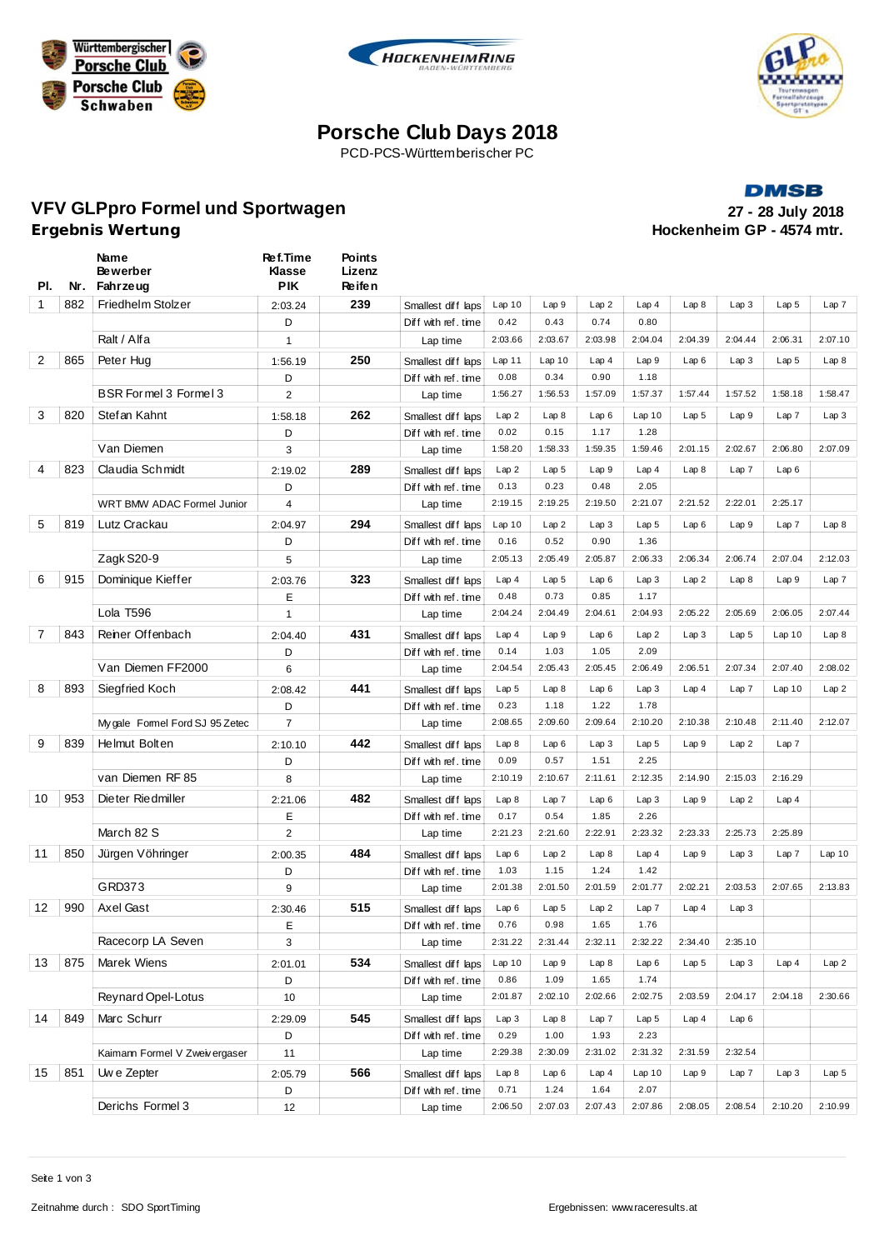





# **Porsche Club Days 2018**

PCD-PCS-Württemberischer PC

**DMSB VFV GLPpro Formel und Sportwagen 27 - 28 July 2018 Hockenheim GP - 4574 mtr.** 

| PI.          |     | Name<br><b>Bewerber</b><br>Nr. Fahrzeug | Ref.Time<br><b>Klasse</b><br><b>PIK</b> | <b>Points</b><br>Lizenz<br>Re ife n |                                           |                  |                  |               |                  |                  |         |                  |                  |
|--------------|-----|-----------------------------------------|-----------------------------------------|-------------------------------------|-------------------------------------------|------------------|------------------|---------------|------------------|------------------|---------|------------------|------------------|
| $\mathbf{1}$ | 882 | Friedhelm Stolzer                       | 2:03.24                                 | 239                                 | Smallest diff laps                        | Lap10            | Lap9             | Lap2          | Lap4             | Lap8             | Lap3    | Lap <sub>5</sub> | Lap7             |
|              |     |                                         | D                                       |                                     | Diff with ref. time                       | 0.42             | 0.43             | 0.74          | 0.80             |                  |         |                  |                  |
|              |     | Ralt / Alfa                             | $\mathbf{1}$                            |                                     | Lap time                                  | 2:03.66          | 2:03.67          | 2:03.98       | 2:04.04          | 2:04.39          | 2:04.44 | 2:06.31          | 2:07.10          |
| 2            | 865 | Peter Hug                               | 1:56.19                                 | 250                                 | Smallest diff laps                        | Lap11            | Lap10            | Lap4          | Lap9             | Lap6             | Lap3    | Lap <sub>5</sub> | Lap8             |
|              |     |                                         | D                                       |                                     | Diff with ref. time                       | 0.08             | 0.34             | 0.90          | 1.18             |                  |         |                  |                  |
|              |     | BSR Formel 3 Formel 3                   | $\overline{2}$                          |                                     | Lap time                                  | 1:56.27          | 1:56.53          | 1:57.09       | 1:57.37          | 1:57.44          | 1:57.52 | 1:58.18          | 1:58.47          |
| 3            | 820 | Stefan Kahnt                            | 1:58.18                                 | 262                                 | Smallest diff laps                        | Lap2             | Lap8             | Lap6          | Lap10            | Lap <sub>5</sub> | Lap 9   | Lap 7            | Lap3             |
|              |     |                                         | D                                       |                                     | Diff with ref. time                       | 0.02             | 0.15             | 1.17          | 1.28             |                  |         |                  |                  |
|              |     | Van Diemen                              | 3                                       |                                     | Lap time                                  | 1:58.20          | 1:58.33          | 1:59.35       | 1:59.46          | 2:01.15          | 2:02.67 | 2:06.80          | 2:07.09          |
| 4            | 823 | Claudia Schmidt                         | 2:19.02                                 | 289                                 | Smallest diff laps                        | Lap2             | Lap <sub>5</sub> | Lap9          | Lap4             | Lap8             | Lap7    | Lap6             |                  |
|              |     |                                         | D                                       |                                     | Diff with ref. time                       | 0.13             | 0.23             | 0.48          | 2.05             |                  |         |                  |                  |
|              |     | WRT BMW ADAC Formel Junior              | 4                                       |                                     | Lap time                                  | 2:19.15          | 2:19.25          | 2:19.50       | 2:21.07          | 2:21.52          | 2:22.01 | 2:25.17          |                  |
| 5            | 819 | Lutz Crackau                            | 2:04.97                                 | 294                                 | Smallest diff laps                        | Lap10            | Lap2             | Lap3          | Lap <sub>5</sub> | Lap6             | Lap9    | Lap 7            | Lap8             |
|              |     |                                         | D                                       |                                     | Diff with ref. time                       | 0.16             | 0.52             | 0.90          | 1.36             |                  |         |                  |                  |
|              |     | Zagk S20-9                              | 5                                       |                                     | Lap time                                  | 2:05.13          | 2:05.49          | 2:05.87       | 2:06.33          | 2:06.34          | 2:06.74 | 2:07.04          | 2:12.03          |
| 6            | 915 | Dominique Kieffer                       | 2:03.76                                 | 323                                 | Smallest diff laps                        | Lap4             | Lap <sub>5</sub> | Lap6          | Lap3             | Lap2             | Lap8    | Lap9             | Lap7             |
|              |     |                                         | Е                                       |                                     | Diff with ref. time                       | 0.48             | 0.73             | 0.85          | 1.17             |                  |         |                  |                  |
|              |     | Lola T596                               | $\mathbf{1}$                            |                                     | Lap time                                  | 2:04.24          | 2:04.49          | 2:04.61       | 2:04.93          | 2:05.22          | 2:05.69 | 2:06.05          | 2:07.44          |
| 7            | 843 | Reiner Offenbach                        | 2:04.40                                 | 431                                 | Smallest diff laps                        | Lap4             | Lap9             | Lap6          | Lap2             | Lap3             | Lap 5   | Lap10            | Lap8             |
|              |     |                                         | D                                       |                                     | Diff with ref. time                       | 0.14             | 1.03             | 1.05          | 2.09             |                  |         |                  |                  |
|              |     | Van Diemen FF2000                       | 6                                       |                                     | Lap time                                  | 2:04.54          | 2:05.43          | 2:05.45       | 2:06.49          | 2:06.51          | 2:07.34 | 2:07.40          | 2:08.02          |
| 8            | 893 | Siegfried Koch                          | 2:08.42                                 | 441                                 | Smallest diff laps                        | Lap <sub>5</sub> | Lap8             | Lap6          | Lap3             | Lap4             | Lap7    | Lap10            | Lap2             |
|              |     |                                         | D                                       |                                     | Diff with ref. time                       | 0.23             | 1.18             | 1.22          | 1.78             |                  |         |                  |                  |
|              |     | My gale Formel Ford SJ 95 Zetec         | $\overline{7}$                          |                                     | Lap time                                  | 2:08.65          | 2:09.60          | 2:09.64       | 2:10.20          | 2:10.38          | 2:10.48 | 2:11.40          | 2:12.07          |
| 9            | 839 | Helmut Bolten                           | 2:10.10                                 | 442                                 | Smallest diff laps                        | Lap8             | Lap6             | Lap3          | Lap <sub>5</sub> | Lap9             | Lap2    | Lap 7            |                  |
|              |     |                                         | D                                       |                                     | Diff with ref. time                       | 0.09             | 0.57             | 1.51          | 2.25             |                  |         |                  |                  |
|              |     | van Diemen RF 85                        | 8                                       |                                     | Lap time                                  | 2:10.19          | 2:10.67          | 2:11.61       | 2:12.35          | 2:14.90          | 2:15.03 | 2:16.29          |                  |
| 10           | 953 | Dieter Riedmiller                       |                                         | 482                                 |                                           | Lap8             | Lap7             | Lap6          | Lap3             | Lap9             | Lap2    | Lap4             |                  |
|              |     |                                         | 2:21.06<br>Ε                            |                                     | Smallest diff laps<br>Diff with ref. time | 0.17             | 0.54             | 1.85          | 2.26             |                  |         |                  |                  |
|              |     | March 82 S                              | $\overline{2}$                          |                                     | Lap time                                  | 2:21.23          | 2:21.60          | 2:22.91       | 2:23.32          | 2:23.33          | 2:25.73 | 2:25.89          |                  |
| 11           | 850 | Jürgen Vöhringer                        |                                         | 484                                 |                                           | Lap6             | Lap2             | Lap8          | Lap4             | Lap9             |         | Lap 7            | Lap10            |
|              |     |                                         | 2:00.35<br>D                            |                                     | Smallest diff laps<br>Diff with ref. time | 1.03             | 1.15             | 1.24          | 1.42             |                  | Lap3    |                  |                  |
|              |     | GRD373                                  | 9                                       |                                     | Lap time                                  | 2:01.38          | 2:01.50          | 2:01.59       | 2:01.77          | 2:02.21          | 2:03.53 | 2:07.65          | 2:13.83          |
| 12           | 990 | Axel Gast                               | 2:30.46                                 | 515                                 |                                           | Lap6             | Lap <sub>5</sub> | Lap 2         | Lap 7            | Lap4             | Lap3    |                  |                  |
|              |     |                                         | Ε                                       |                                     | Smallest diff laps<br>Diff with ref. time | 0.76             | 0.98             | 1.65          | 1.76             |                  |         |                  |                  |
|              |     | Racecorp LA Seven                       | 3                                       |                                     | Lap time                                  | 2:31.22          | 2:31.44          | 2:32.11       | 2:32.22          | 2:34.40          | 2:35.10 |                  |                  |
| 13           | 875 | Marek Wiens                             |                                         | 534                                 |                                           | Lap10            | Lap 9            | Lap8          | Lap6             | Lap 5            | Lap 3   | Lap4             | Lap2             |
|              |     |                                         | 2:01.01<br>D                            |                                     | Smallest diff laps<br>Diff with ref. time | 0.86             | 1.09             | 1.65          | 1.74             |                  |         |                  |                  |
|              |     | Reynard Opel-Lotus                      | 10                                      |                                     | Lap time                                  | 2:01.87          | 2:02.10          | 2:02.66       | 2:02.75          | 2:03.59          | 2:04.17 | 2:04.18          | 2:30.66          |
|              |     | Marc Schurr                             |                                         |                                     |                                           |                  |                  |               |                  |                  |         |                  |                  |
| 14           | 849 |                                         | 2:29.09                                 | 545                                 | Smallest diff laps                        | Lap3<br>0.29     | Lap8<br>1.00     | Lap 7<br>1.93 | Lap 5<br>2.23    | Lap4             | Lap6    |                  |                  |
|              |     | Kaimann Formel V Zweiv ergaser          | D<br>11                                 |                                     | Diff with ref. time<br>Lap time           | 2:29.38          | 2:30.09          | 2:31.02       | 2:31.32          | 2:31.59          | 2:32.54 |                  |                  |
| 15           | 851 |                                         |                                         | 566                                 |                                           |                  |                  |               |                  |                  |         |                  |                  |
|              |     | Uw e Zepter                             | 2:05.79<br>D                            |                                     | Smallest diff laps                        | Lap8<br>0.71     | Lap6<br>1.24     | Lap4<br>1.64  | Lap10<br>2.07    | Lap 9            | Lap7    | Lap3             | Lap <sub>5</sub> |
|              |     | Derichs Formel 3                        | 12                                      |                                     | Diff with ref.time<br>Lap time            | 2:06.50          | 2:07.03          | 2:07.43       | 2:07.86          | 2:08.05          | 2:08.54 | 2:10.20          | 2:10.99          |
|              |     |                                         |                                         |                                     |                                           |                  |                  |               |                  |                  |         |                  |                  |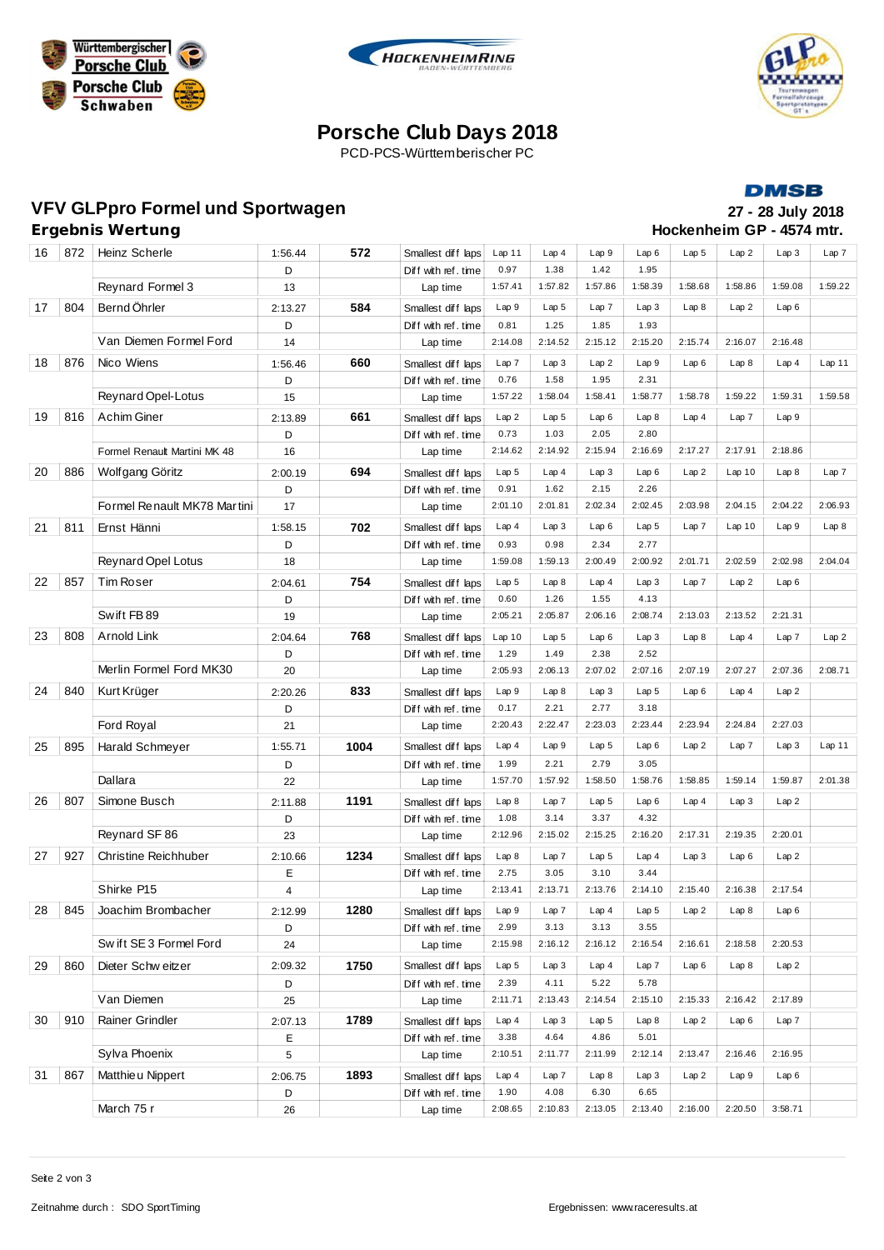





# **Porsche Club Days 2018**

PCD-PCS-Württemberischer PC

#### **DMSB**

**Hockenheim GP - 4574 mtr.** 

# **VFV GLPpro Formel und Sportwagen 27 - 28 July 2018**

| 16          | 872 | Heinz Scherle                | 1:56.44 | 572  | Smallest diff laps  | Lap11            | Lap4             | Lap9             | Lap6             | Lap <sub>5</sub> | Lap2    | Lap3    | Lap7    |
|-------------|-----|------------------------------|---------|------|---------------------|------------------|------------------|------------------|------------------|------------------|---------|---------|---------|
|             |     |                              | D       |      | Diff with ref.time  | 0.97             | 1.38             | 1.42             | 1.95             |                  |         |         |         |
|             |     | Reynard Formel 3             | 13      |      | Lap time            | 1:57.41          | 1:57.82          | 1:57.86          | 1:58.39          | 1:58.68          | 1:58.86 | 1:59.08 | 1:59.22 |
| 17          | 804 | Bernd Öhrler                 | 2:13.27 | 584  | Smallest diff laps  | Lap 9            | Lap <sub>5</sub> | Lap 7            | Lap 3            | Lap 8            | Lap2    | Lap6    |         |
|             |     |                              | D       |      | Diff with ref. time | 0.81             | 1.25             | 1.85             | 1.93             |                  |         |         |         |
|             |     | Van Diemen Formel Ford       | 14      |      | Lap time            | 2:14.08          | 2:14.52          | 2:15.12          | 2:15.20          | 2:15.74          | 2:16.07 | 2:16.48 |         |
| 18          | 876 | Nico Wiens                   | 1:56.46 | 660  | Smallest diff laps  | Lap7             | Lap3             | Lap2             | Lap9             | Lap6             | Lap8    | Lap4    | Lap 11  |
|             |     |                              | D       |      | Diff with ref. time | 0.76             | 1.58             | 1.95             | 2.31             |                  |         |         |         |
|             |     | <b>Reynard Opel-Lotus</b>    | 15      |      | Lap time            | 1:57.22          | 1:58.04          | 1:58.41          | 1:58.77          | 1:58.78          | 1:59.22 | 1:59.31 | 1:59.58 |
| 19          | 816 | <b>Achim Giner</b>           | 2:13.89 | 661  | Smallest diff laps  | Lap2             | Lap <sub>5</sub> | Lap6             | Lap8             | Lap4             | Lap 7   | Lap9    |         |
|             |     |                              | D       |      | Diff with ref.time  | 0.73             | 1.03             | 2.05             | 2.80             |                  |         |         |         |
|             |     | Formel Renault Martini MK 48 | 16      |      | Lap time            | 2:14.62          | 2:14.92          | 2:15.94          | 2:16.69          | 2:17.27          | 2:17.91 | 2:18.86 |         |
| 20          | 886 | Wolfgang Göritz              | 2:00.19 | 694  | Smallest diff laps  | Lap <sub>5</sub> | Lap4             | Lap3             | Lap6             | Lap2             | Lap10   | Lap8    | Lap 7   |
|             |     |                              | D       |      | Diff with ref. time | 0.91             | 1.62             | 2.15             | 2.26             |                  |         |         |         |
|             |     | Formel Renault MK78 Martini  | 17      |      | Lap time            | 2:01.10          | 2:01.81          | 2:02.34          | 2:02.45          | 2:03.98          | 2:04.15 | 2:04.22 | 2:06.93 |
| 21          | 811 | Ernst Hänni                  | 1:58.15 | 702  | Smallest diff laps  | Lap4             | Lap3             | Lap6             | Lap <sub>5</sub> | Lap7             | Lap10   | Lap9    | Lap8    |
|             |     |                              | D       |      | Diff with ref. time | 0.93             | 0.98             | 2.34             | 2.77             |                  |         |         |         |
|             |     | <b>Reynard Opel Lotus</b>    | 18      |      | Lap time            | 1:59.08          | 1:59.13          | 2:00.49          | 2:00.92          | 2:01.71          | 2:02.59 | 2:02.98 | 2:04.04 |
| 22          | 857 | <b>Tim Roser</b>             | 2:04.61 | 754  | Smallest diff laps  | Lap <sub>5</sub> | Lap8             | Lap4             | Lap3             | Lap7             | Lap2    | Lap6    |         |
|             |     |                              | D       |      | Diff with ref.time  | 0.60             | 1.26             | 1.55             | 4.13             |                  |         |         |         |
|             |     | Swift FB89                   | 19      |      | Lap time            | 2:05.21          | 2:05.87          | 2:06.16          | 2:08.74          | 2:13.03          | 2:13.52 | 2:21.31 |         |
| 23          | 808 | Arnold Link                  | 2:04.64 | 768  | Smallest diff laps  | Lap10            | Lap <sub>5</sub> | Lap6             | Lap 3            | Lap 8            | Lap4    | Lap 7   | Lap2    |
|             |     |                              | D       |      | Diff with ref. time | 1.29             | 1.49             | 2.38             | 2.52             |                  |         |         |         |
|             |     | Merlin Formel Ford MK30      | 20      |      | Lap time            | 2:05.93          | 2:06.13          | 2:07.02          | 2:07.16          | 2:07.19          | 2:07.27 | 2:07.36 | 2:08.71 |
| 24          | 840 | Kurt Krüger                  | 2:20.26 | 833  | Smallest diff laps  | Lap 9            | Lap8             | Lap3             | Lap <sub>5</sub> | Lap6             | Lap4    | Lap2    |         |
|             |     |                              | D       |      | Diff with ref.time  | 0.17             | 2.21             | 2.77             | 3.18             |                  |         |         |         |
|             |     | Ford Royal                   | 21      |      | Lap time            | 2:20.43          | 2:22.47          | 2:23.03          | 2:23.44          | 2:23.94          | 2:24.84 | 2:27.03 |         |
| 25          | 895 | Harald Schmeyer              | 1:55.71 | 1004 | Smallest diff laps  | Lap4             | Lap9             | Lap <sub>5</sub> | Lap6             | Lap2             | Lap 7   | Lap 3   | Lap11   |
|             |     |                              | D       |      | Diff with ref. time | 1.99             | 2.21             | 2.79             | 3.05             |                  |         |         |         |
|             |     | Dallara                      | 22      |      | Lap time            | 1:57.70          | 1:57.92          | 1:58.50          | 1:58.76          | 1:58.85          | 1:59.14 | 1:59.87 | 2:01.38 |
| 26          | 807 | Simone Busch                 | 2:11.88 | 1191 | Smallest diff laps  | Lap 8            | Lap 7            | Lap <sub>5</sub> | Lap6             | Lap4             | Lap3    | Lap2    |         |
|             |     |                              | D       |      | Diff with ref. time | 1.08             | 3.14             | 3.37             | 4.32             |                  |         |         |         |
|             |     | Reynard SF 86                | 23      |      | Lap time            | 2:12.96          | 2:15.02          | 2:15.25          | 2:16.20          | 2:17.31          | 2:19.35 | 2:20.01 |         |
| 27          | 927 | <b>Christine Reichhuber</b>  | 2:10.66 | 1234 | Smallest diff laps  | Lap8             | Lap7             | Lap <sub>5</sub> | Lap4             | Lap3             | Lap6    | Lap2    |         |
|             |     |                              | Ε       |      | Diff with ref.time  | 2.75             | 3.05             | 3.10             | 3.44             |                  |         |         |         |
|             |     | Shirke P15                   | 4       |      | Lap time            | 2:13.41          | 2:13.71          | 2:13.76          | 2:14.10          | 2:15.40          | 2:16.38 | 2:17.54 |         |
| $\sqrt{28}$ | 845 | Joachim Brombacher           | 2:12.99 | 1280 | Smallest diff laps  | Lap 9            | Lap 7            | Lap4             | Lap 5            | Lap 2            | Lap 8   | Lap6    |         |
|             |     |                              | D       |      | Diff with ref. time | 2.99             | 3.13             | 3.13             | 3.55             |                  |         |         |         |
|             |     | Sw ift SE 3 Formel Ford      | 24      |      | Lap time            | 2:15.98          | 2:16.12          | 2:16.12          | 2:16.54          | 2:16.61          | 2:18.58 | 2:20.53 |         |
| 29          | 860 | Dieter Schw eitzer           | 2:09.32 | 1750 | Smallest diff laps  | Lap <sub>5</sub> | Lap 3            | Lap4             | Lap7             | Lap6             | Lap8    | Lap2    |         |
|             |     |                              | D       |      | Diff with ref. time | 2.39             | 4.11             | 5.22             | 5.78             |                  |         |         |         |
|             |     | Van Diemen                   | 25      |      | Lap time            | 2:11.71          | 2:13.43          | 2:14.54          | 2:15.10          | 2:15.33          | 2:16.42 | 2:17.89 |         |
| 30          | 910 | Rainer Grindler              | 2:07.13 | 1789 | Smallest diff laps  | Lap4             | Lap3             | Lap <sub>5</sub> | Lap8             | Lap2             | Lap6    | Lap7    |         |
|             |     |                              | E       |      | Diff with ref. time | 3.38             | 4.64             | 4.86             | 5.01             |                  |         |         |         |
|             |     | Sylva Phoenix                | 5       |      | Lap time            | 2:10.51          | 2:11.77          | 2:11.99          | 2:12.14          | 2:13.47          | 2:16.46 | 2:16.95 |         |
| 31          | 867 | Matthieu Nippert             | 2:06.75 | 1893 | Smallest diff laps  | Lap4             | Lap 7            | Lap8             | Lap3             | Lap2             | Lap9    | Lap6    |         |
|             |     |                              | D       |      | Diff with ref. time | 1.90             | 4.08             | 6.30             | 6.65             |                  |         |         |         |
|             |     | March 75 r                   | 26      |      | Lap time            | 2:08.65          | 2:10.83          | 2:13.05          | 2:13.40          | 2:16.00          | 2:20.50 | 3:58.71 |         |